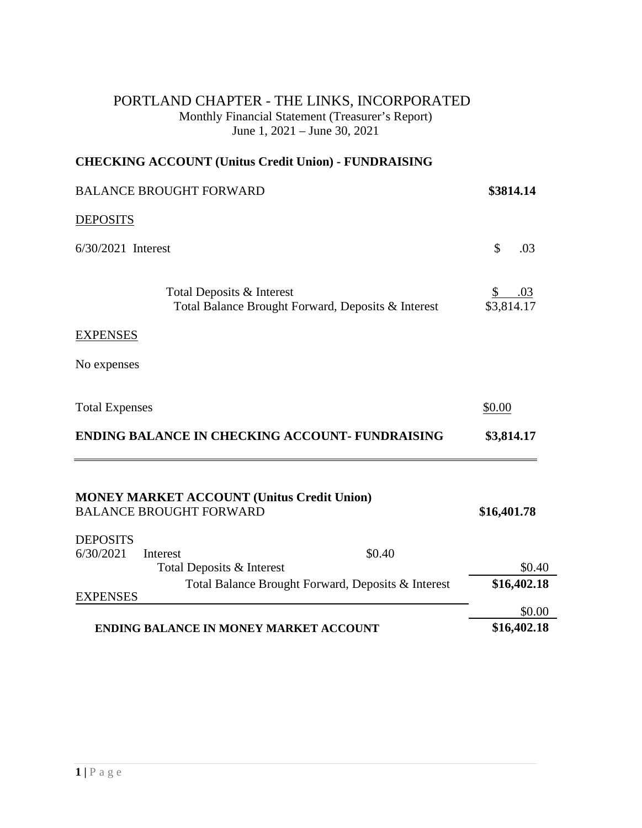## PORTLAND CHAPTER - THE LINKS, INCORPORATED Monthly Financial Statement (Treasurer's Report) June 1, 2021 – June 30, 2021

## **CHECKING ACCOUNT (Unitus Credit Union) - FUNDRAISING**

| <b>BALANCE BROUGHT FORWARD</b>           | \$3814.14                                                                           |                         |
|------------------------------------------|-------------------------------------------------------------------------------------|-------------------------|
| <b>DEPOSITS</b>                          |                                                                                     |                         |
| 6/30/2021 Interest                       |                                                                                     | \$<br>.03               |
|                                          | Total Deposits & Interest<br>Total Balance Brought Forward, Deposits & Interest     | .03<br>\$<br>\$3,814.17 |
| <b>EXPENSES</b>                          |                                                                                     |                         |
| No expenses                              |                                                                                     |                         |
| <b>Total Expenses</b>                    |                                                                                     | \$0.00                  |
|                                          | <b>ENDING BALANCE IN CHECKING ACCOUNT- FUNDRAISING</b>                              | \$3,814.17              |
|                                          | <b>MONEY MARKET ACCOUNT (Unitus Credit Union)</b><br><b>BALANCE BROUGHT FORWARD</b> | \$16,401.78             |
| <b>DEPOSITS</b><br>6/30/2021<br>Interest | \$0.40                                                                              |                         |
|                                          | Total Deposits & Interest                                                           | \$0.40                  |
|                                          | Total Balance Brought Forward, Deposits & Interest                                  | \$16,402.18             |
| <b>EXPENSES</b>                          |                                                                                     | \$0.00                  |
|                                          | <b>ENDING BALANCE IN MONEY MARKET ACCOUNT</b>                                       | \$16,402.18             |
|                                          |                                                                                     |                         |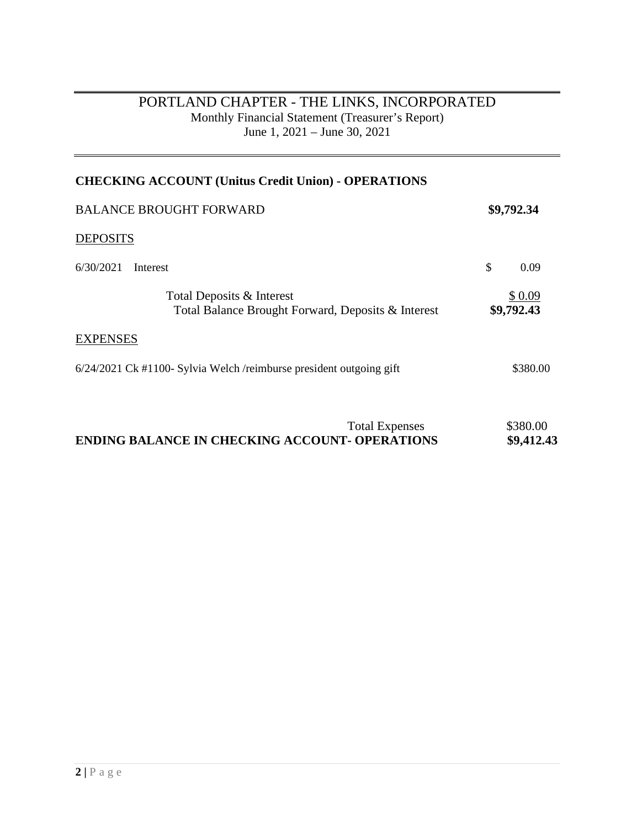## PORTLAND CHAPTER - THE LINKS, INCORPORATED Monthly Financial Statement (Treasurer's Report) June 1, 2021 – June 30, 2021

| <b>CHECKING ACCOUNT (Unitus Credit Union) - OPERATIONS</b>                      |                      |  |
|---------------------------------------------------------------------------------|----------------------|--|
| <b>BALANCE BROUGHT FORWARD</b>                                                  | \$9,792.34           |  |
| <b>DEPOSITS</b>                                                                 |                      |  |
| 6/30/2021<br>Interest                                                           | \$<br>0.09           |  |
| Total Deposits & Interest<br>Total Balance Brought Forward, Deposits & Interest | \$0.09<br>\$9,792.43 |  |
| <b>EXPENSES</b>                                                                 |                      |  |
| 6/24/2021 Ck #1100- Sylvia Welch /reimburse president outgoing gift             | \$380.00             |  |

|                                                       | <b>Total Expenses</b> | \$380.00   |
|-------------------------------------------------------|-----------------------|------------|
| <b>ENDING BALANCE IN CHECKING ACCOUNT- OPERATIONS</b> |                       | \$9,412.43 |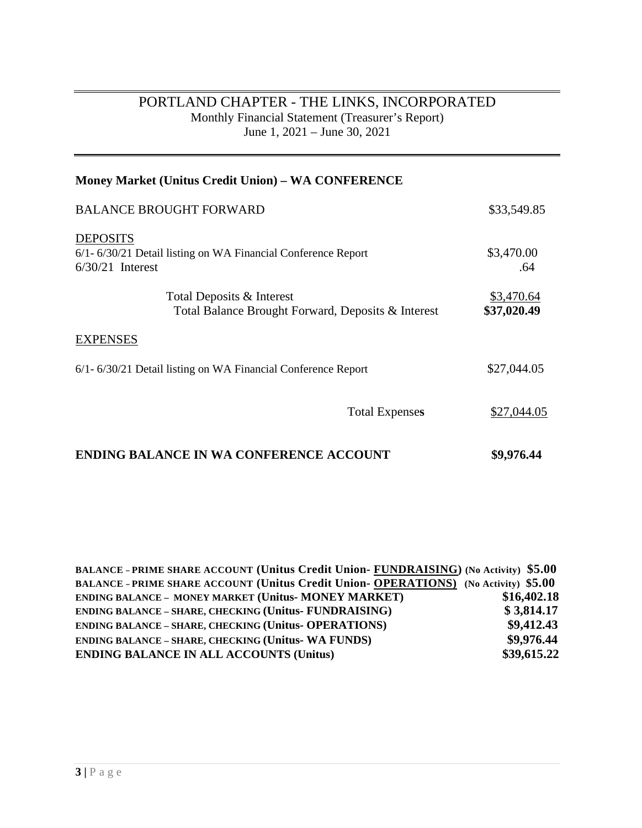## PORTLAND CHAPTER - THE LINKS, INCORPORATED Monthly Financial Statement (Treasurer's Report) June 1, 2021 – June 30, 2021

| <b>Money Market (Unitus Credit Union) – WA CONFERENCE</b>                                             |                           |
|-------------------------------------------------------------------------------------------------------|---------------------------|
| <b>BALANCE BROUGHT FORWARD</b>                                                                        | \$33,549.85               |
| <b>DEPOSITS</b><br>6/1-6/30/21 Detail listing on WA Financial Conference Report<br>$6/30/21$ Interest | \$3,470.00<br>.64         |
| Total Deposits & Interest<br>Total Balance Brought Forward, Deposits & Interest                       | \$3,470.64<br>\$37,020.49 |
| <b>EXPENSES</b>                                                                                       |                           |
| 6/1-6/30/21 Detail listing on WA Financial Conference Report                                          | \$27,044.05               |
| <b>Total Expenses</b>                                                                                 | \$27,044.05               |
| <b>ENDING BALANCE IN WA CONFERENCE ACCOUNT</b>                                                        | \$9,976.44                |

| BALANCE - PRIME SHARE ACCOUNT (Unitus Credit Union- FUNDRAISING) (No Activity) \$5.00       |             |
|---------------------------------------------------------------------------------------------|-------------|
| <b>BALANCE - PRIME SHARE ACCOUNT (Unitus Credit Union- OPERATIONS)</b> (No Activity) \$5.00 |             |
| <b>ENDING BALANCE - MONEY MARKET (Unitus- MONEY MARKET)</b>                                 | \$16,402.18 |
| <b>ENDING BALANCE - SHARE, CHECKING (Unitus- FUNDRAISING)</b>                               | \$3,814.17  |
| <b>ENDING BALANCE - SHARE, CHECKING (Unitus- OPERATIONS)</b>                                | \$9,412.43  |
| <b>ENDING BALANCE - SHARE, CHECKING (Unitus- WA FUNDS)</b>                                  | \$9,976.44  |
| <b>ENDING BALANCE IN ALL ACCOUNTS (Unitus)</b>                                              | \$39,615.22 |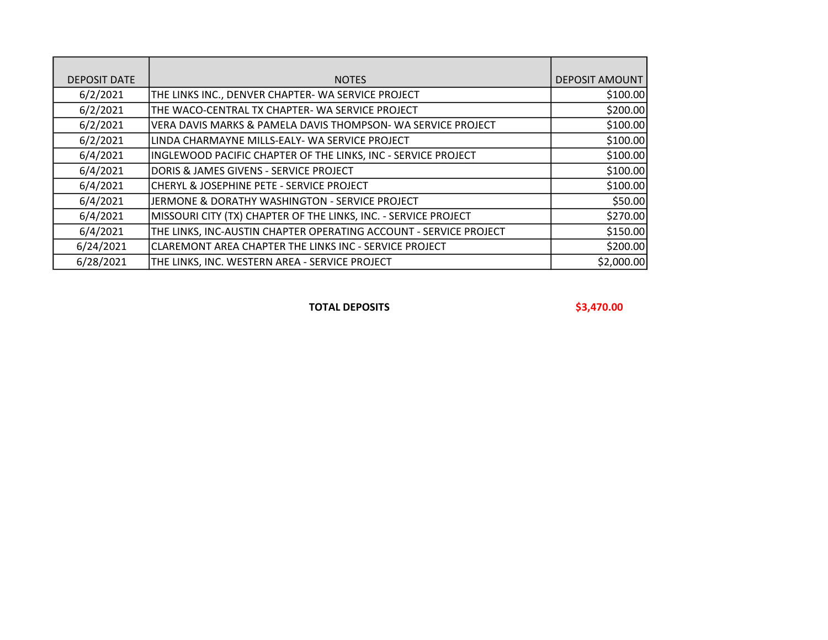| <b>DEPOSIT DATE</b> | <b>NOTES</b>                                                      | <b>DEPOSIT AMOUNT</b> |
|---------------------|-------------------------------------------------------------------|-----------------------|
| 6/2/2021            | THE LINKS INC., DENVER CHAPTER-WA SERVICE PROJECT                 | \$100.00              |
| 6/2/2021            | THE WACO-CENTRAL TX CHAPTER- WA SERVICE PROJECT                   | \$200.00              |
| 6/2/2021            | VERA DAVIS MARKS & PAMELA DAVIS THOMPSON- WA SERVICE PROJECT      | \$100.00              |
| 6/2/2021            | LINDA CHARMAYNE MILLS-EALY- WA SERVICE PROJECT                    | \$100.00              |
| 6/4/2021            | INGLEWOOD PACIFIC CHAPTER OF THE LINKS, INC - SERVICE PROJECT     | \$100.00              |
| 6/4/2021            | DORIS & JAMES GIVENS - SERVICE PROJECT                            | \$100.00              |
| 6/4/2021            | CHERYL & JOSEPHINE PETE - SERVICE PROJECT                         | \$100.00              |
| 6/4/2021            | JERMONE & DORATHY WASHINGTON - SERVICE PROJECT                    | \$50.00               |
| 6/4/2021            | MISSOURI CITY (TX) CHAPTER OF THE LINKS, INC. - SERVICE PROJECT   | \$270.00              |
| 6/4/2021            | THE LINKS, INC-AUSTIN CHAPTER OPERATING ACCOUNT - SERVICE PROJECT | \$150.00              |
| 6/24/2021           | CLAREMONT AREA CHAPTER THE LINKS INC - SERVICE PROJECT            | \$200.00              |
| 6/28/2021           | THE LINKS, INC. WESTERN AREA - SERVICE PROJECT                    | \$2,000.00            |

TOTAL DEPOSITS \$3,470.00